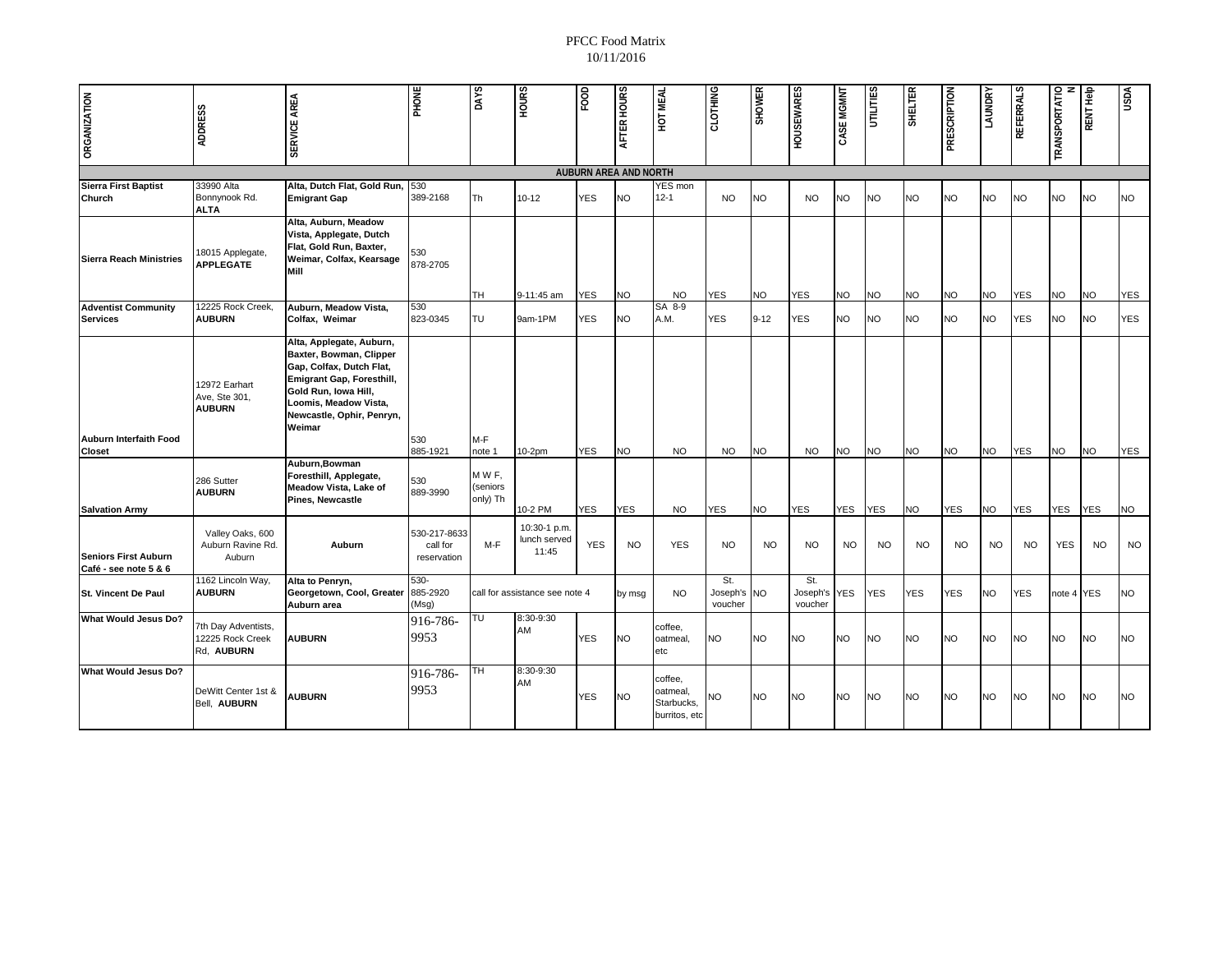| <b>ORGANIZATION</b>                                  | <b>ADDRESS</b>                                        | SERVICE AREA                                                                                                                                                                                         | PHONE                                   | <b>DAYS</b>                  | <b>SANOH</b>                          | FOOD       | AFTER HOURS | HOT MEAL                                           | CLOTHING                   | <b>SHOWER</b> | <b>HOUSEWARES</b>          | CASE MGMNT | <b>UTILITIES</b> | <b>SHELTER</b> | PRESCRIPTION | LAUNDRY   | <b>REFERRALS</b> | TRANSPORTATIO | <b>RENT Help</b> | <b>USDA</b> |
|------------------------------------------------------|-------------------------------------------------------|------------------------------------------------------------------------------------------------------------------------------------------------------------------------------------------------------|-----------------------------------------|------------------------------|---------------------------------------|------------|-------------|----------------------------------------------------|----------------------------|---------------|----------------------------|------------|------------------|----------------|--------------|-----------|------------------|---------------|------------------|-------------|
| <b>AUBURN AREA AND NORTH</b>                         |                                                       |                                                                                                                                                                                                      |                                         |                              |                                       |            |             |                                                    |                            |               |                            |            |                  |                |              |           |                  |               |                  |             |
| <b>Sierra First Baptist</b><br>Church                | 33990 Alta<br>Bonnynook Rd.<br><b>ALTA</b>            | Alta, Dutch Flat, Gold Run,<br><b>Emigrant Gap</b>                                                                                                                                                   | 530<br>389-2168                         | <b>Th</b>                    | $10 - 12$                             | <b>YES</b> | <b>NO</b>   | YES mon<br>$12 - 1$                                | <b>NO</b>                  | <b>NO</b>     | <b>NO</b>                  | <b>NO</b>  | NO.              | <b>NO</b>      | <b>NO</b>    | NO        | <b>NO</b>        | <b>NO</b>     | NO.              | <b>NO</b>   |
| Sierra Reach Ministries                              | 18015 Applegate,<br><b>APPLEGATE</b>                  | Alta, Auburn, Meadow<br>Vista, Applegate, Dutch<br>Flat, Gold Run, Baxter,<br>Weimar, Colfax, Kearsage<br>Mill                                                                                       | 530<br>878-2705                         | <b>TH</b>                    | 9-11:45 am                            | <b>YES</b> | <b>NO</b>   | <b>NO</b>                                          | <b>YES</b>                 | <b>NO</b>     | <b>YES</b>                 | <b>NO</b>  | <b>NO</b>        | <b>NO</b>      | <b>NO</b>    | <b>NO</b> | <b>YES</b>       | <b>NO</b>     | <b>NO</b>        | <b>YES</b>  |
| <b>Adventist Community</b><br><b>Services</b>        | 12225 Rock Creek,<br><b>AUBURN</b>                    | Auburn, Meadow Vista,<br>Colfax, Weimar                                                                                                                                                              | 530<br>823-0345                         | <b>TU</b>                    | 9am-1PM                               | <b>YES</b> | NO          | SA 8-9<br>A.M.                                     | <b>YES</b>                 | $9 - 12$      | <b>YES</b>                 | NO.        | NO               | <b>NO</b>      | <b>NO</b>    | NO.       | <b>YES</b>       | <b>NO</b>     | NO.              | <b>YES</b>  |
| <b>Auburn Interfaith Food</b><br><b>Closet</b>       | 12972 Earhart<br>Ave, Ste 301,<br><b>AUBURN</b>       | Alta, Applegate, Auburn,<br>Baxter, Bowman, Clipper<br>Gap, Colfax, Dutch Flat,<br>Emigrant Gap, Foresthill,<br>Gold Run, Iowa Hill,<br>Loomis, Meadow Vista,<br>Newcastle, Ophir, Penryn,<br>Weimar | 530<br>885-1921                         | M-F<br>note 1                | $10-2pm$                              | <b>YES</b> | <b>NO</b>   | <b>NO</b>                                          | <b>NO</b>                  | <b>NO</b>     | <b>NO</b>                  | <b>NO</b>  | <b>NO</b>        | <b>NO</b>      | <b>NO</b>    | NO        | <b>YES</b>       | <b>NO</b>     | NO.              | <b>YES</b>  |
| <b>Salvation Army</b>                                | 286 Sutter<br><b>AUBURN</b>                           | Auburn, Bowman<br>Foresthill, Applegate,<br>Meadow Vista, Lake of<br><b>Pines, Newcastle</b>                                                                                                         | 530<br>889-3990                         | MWF,<br>(seniors<br>only) Th | 10-2 PM                               | <b>YES</b> | <b>YES</b>  | <b>NO</b>                                          | <b>YES</b>                 | <b>NO</b>     | <b>YES</b>                 | <b>YES</b> | <b>YES</b>       | <b>NO</b>      | <b>YES</b>   | <b>NO</b> | <b>YES</b>       | <b>YES</b>    | <b>YES</b>       | <b>NO</b>   |
| <b>Seniors First Auburn</b><br>Café - see note 5 & 6 | Valley Oaks, 600<br>Auburn Ravine Rd.<br>Auburn       | Auburn                                                                                                                                                                                               | 530-217-8633<br>call for<br>reservation | $M-F$                        | 10:30-1 p.m.<br>lunch served<br>11:45 | <b>YES</b> | <b>NO</b>   | <b>YES</b>                                         | <b>NO</b>                  | <b>NO</b>     | <b>NO</b>                  | <b>NO</b>  | <b>NO</b>        | <b>NO</b>      | NO.          | <b>NO</b> | <b>NO</b>        | <b>YES</b>    | <b>NO</b>        | <b>NO</b>   |
| St. Vincent De Paul                                  | 1162 Lincoln Way,<br><b>AUBURN</b>                    | Alta to Penryn,<br>Georgetown, Cool, Greater<br>Auburn area                                                                                                                                          | $530 -$<br>885-2920<br>(Msg)            |                              | call for assistance see note 4        |            | by msg      | <b>NO</b>                                          | St.<br>Joseph's<br>voucher | <b>NO</b>     | St.<br>Joseph's<br>voucher | <b>YES</b> | <b>YES</b>       | <b>YES</b>     | <b>YES</b>   | NO.       | <b>YES</b>       | note 4 YES    |                  | <b>NO</b>   |
| What Would Jesus Do?                                 | 7th Day Adventists,<br>12225 Rock Creek<br>Rd, AUBURN | <b>AUBURN</b>                                                                                                                                                                                        | 916-786-<br>9953                        | TU                           | 8:30-9:30<br>AM                       | YES        | NΟ          | coffee,<br>oatmeal,<br>etc                         | NO                         | NO            | <b>NO</b>                  | <b>NO</b>  | NO               | <b>NO</b>      | <b>NO</b>    | NO        | NO               | <b>NO</b>     | NO.              | <b>NO</b>   |
| What Would Jesus Do?                                 | DeWitt Center 1st &<br>Bell, AUBURN                   | <b>AUBURN</b>                                                                                                                                                                                        | 916-786-<br>9953                        | TH                           | 8:30-9:30<br>AM                       | <b>YES</b> | NO.         | coffee,<br>oatmeal,<br>Starbucks,<br>burritos, etc | NO                         | <b>NO</b>     | <b>NO</b>                  | <b>NO</b>  | NO.              | <b>NO</b>      | <b>NO</b>    | NO        | <b>NO</b>        | <b>NO</b>     | NO.              | <b>NO</b>   |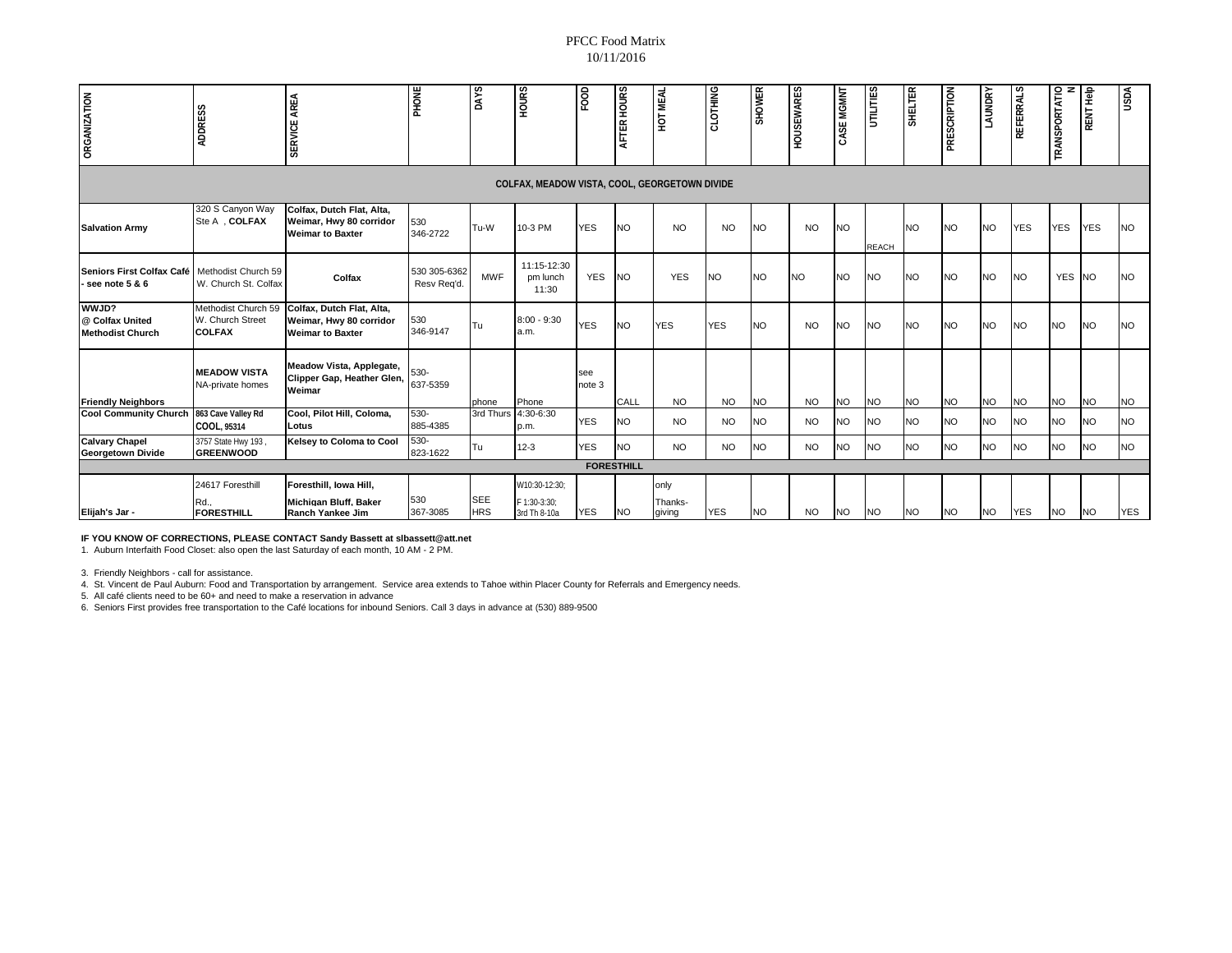| <b>ORGANIZATION</b>                                 | <b>ADDRESS</b>                                           | AREA<br>SERVICE                                                                 | PHONE                       | DAYS                     | <b>HOURS</b>                                  | FOOD          | AFTER HOURS       | HOT MEAL                  | CLOTHING   | <b>SHOWER</b> | <b>FOUSEWARES</b> | CASE MGMNT | <b>CELITILI</b> | <b>SHELTER</b> | PRESCRIPTION | <b>LAUNDRY</b> | <b>REFERRALS</b> | TRANSPORTATIO | RENT Help  | <b>USDA</b> |
|-----------------------------------------------------|----------------------------------------------------------|---------------------------------------------------------------------------------|-----------------------------|--------------------------|-----------------------------------------------|---------------|-------------------|---------------------------|------------|---------------|-------------------|------------|-----------------|----------------|--------------|----------------|------------------|---------------|------------|-------------|
| COLFAX, MEADOW VISTA, COOL, GEORGETOWN DIVIDE       |                                                          |                                                                                 |                             |                          |                                               |               |                   |                           |            |               |                   |            |                 |                |              |                |                  |               |            |             |
| <b>Salvation Army</b>                               | 320 S Canyon Way<br>Ste A , COLFAX                       | Colfax, Dutch Flat, Alta,<br>Weimar, Hwy 80 corridor<br><b>Weimar to Baxter</b> | 530<br>346-2722             | Tu-W                     | 10-3 PM                                       | <b>YES</b>    | N <sub>O</sub>    | <b>NO</b>                 | <b>NO</b>  | <b>NO</b>     | <b>NO</b>         | <b>NO</b>  | <b>REACH</b>    | <b>NO</b>      | <b>NO</b>    | <b>NO</b>      | <b>YES</b>       | <b>YES</b>    | <b>YES</b> | <b>NO</b>   |
| Seniors First Colfax Café<br>- see note $5 & 6$     | Methodist Church 59<br>W. Church St. Colfax              | Colfax                                                                          | 530 305-6362<br>Resv Reg'd. | <b>MWF</b>               | 11:15-12:30<br>pm lunch<br>11:30              | <b>YES</b>    | NΟ                | <b>YES</b>                | <b>NO</b>  | <b>NO</b>     | <b>NO</b>         | <b>NO</b>  | <b>NO</b>       | <b>NO</b>      | <b>NO</b>    | <b>NO</b>      | <b>NO</b>        | YES NO        |            | <b>NO</b>   |
| WWJD?<br>@ Colfax United<br><b>Methodist Church</b> | Methodist Church 59<br>W. Church Street<br><b>COLFAX</b> | Colfax, Dutch Flat, Alta,<br>Weimar, Hwy 80 corridor<br><b>Weimar to Baxter</b> | 530<br>346-9147             | Tu                       | $8:00 - 9:30$<br>a.m.                         | <b>YES</b>    | <b>NO</b>         | <b>YES</b>                | <b>YES</b> | <b>NO</b>     | <b>NO</b>         | <b>NO</b>  | <b>NO</b>       | <b>NO</b>      | <b>NO</b>    | <b>NO</b>      | <b>NO</b>        | <b>NO</b>     | <b>NO</b>  | <b>NO</b>   |
| <b>Friendly Neighbors</b>                           | <b>MEADOW VISTA</b><br>NA-private homes                  | Meadow Vista, Applegate,<br>Clipper Gap, Heather Glen,<br>Weimar                | 530-<br>637-5359            | phone                    | Phone                                         | see<br>note 3 | CALL              | <b>NO</b>                 | <b>NO</b>  | <b>NO</b>     | <b>NO</b>         | <b>NO</b>  | <b>NO</b>       | <b>NO</b>      | <b>NO</b>    | <b>NO</b>      | <b>NO</b>        | <b>NO</b>     | <b>NO</b>  | <b>NO</b>   |
| <b>Cool Community Church</b>                        | 863 Cave Valley Rd<br>COOL, 95314                        | Cool, Pilot Hill, Coloma,<br>Lotus                                              | $530 -$<br>885-4385         |                          | 3rd Thurs 4:30-6:30<br>p.m.                   | <b>YES</b>    | <b>NO</b>         | <b>NO</b>                 | <b>NO</b>  | <b>NO</b>     | <b>NO</b>         | <b>NO</b>  | <b>NO</b>       | <b>NO</b>      | <b>NO</b>    | <b>NO</b>      | <b>NO</b>        | <b>NO</b>     | <b>NO</b>  | <b>NO</b>   |
| <b>Calvary Chapel</b><br><b>Georgetown Divide</b>   | 3757 State Hwy 193<br><b>GREENWOOD</b>                   | Kelsey to Coloma to Cool                                                        | 530-<br>823-1622            | Tu                       | $12 - 3$                                      | <b>YES</b>    | NO.               | <b>NO</b>                 | <b>NO</b>  | <b>NO</b>     | <b>NO</b>         | <b>NO</b>  | <b>NO</b>       | <b>NO</b>      | <b>NO</b>    | <b>NO</b>      | NO.              | <b>NO</b>     | <b>NO</b>  | <b>NO</b>   |
|                                                     |                                                          |                                                                                 |                             |                          |                                               |               | <b>FORESTHILL</b> |                           |            |               |                   |            |                 |                |              |                |                  |               |            |             |
| Elijah's Jar -                                      | 24617 Foresthill<br>રત.,<br><b>FORESTHILL</b>            | Foresthill, Iowa Hill,<br>Michigan Bluff, Baker<br>Ranch Yankee Jim             | 530<br>367-3085             | <b>SEE</b><br><b>HRS</b> | W10:30-12:30;<br>F 1:30-3:30:<br>3rd Th 8-10a | <b>YES</b>    | <b>NO</b>         | only<br>Thanks-<br>giving | <b>YES</b> | <b>NO</b>     | <b>NO</b>         | <b>NO</b>  | <b>NO</b>       | <b>NO</b>      | <b>NO</b>    | <b>NO</b>      | <b>YES</b>       | <b>NO</b>     | <b>NO</b>  | <b>YES</b>  |

**IF YOU KNOW OF CORRECTIONS, PLEASE CONTACT Sandy Bassett at slbassett@att.net**

1. Auburn Interfaith Food Closet: also open the last Saturday of each month, 10 AM - 2 PM.

3. Friendly Neighbors - call for assistance.

4. St. Vincent de Paul Aubum: Food and Transportation by arrangement. Service area extends to Tahoe within Placer County for Referrals and Emergency needs.<br>5. All café clients need to be 60+ and need to make a reservation

6. Seniors First provides free transportation to the Café locations for inbound Seniors. Call 3 days in advance at (530) 889-9500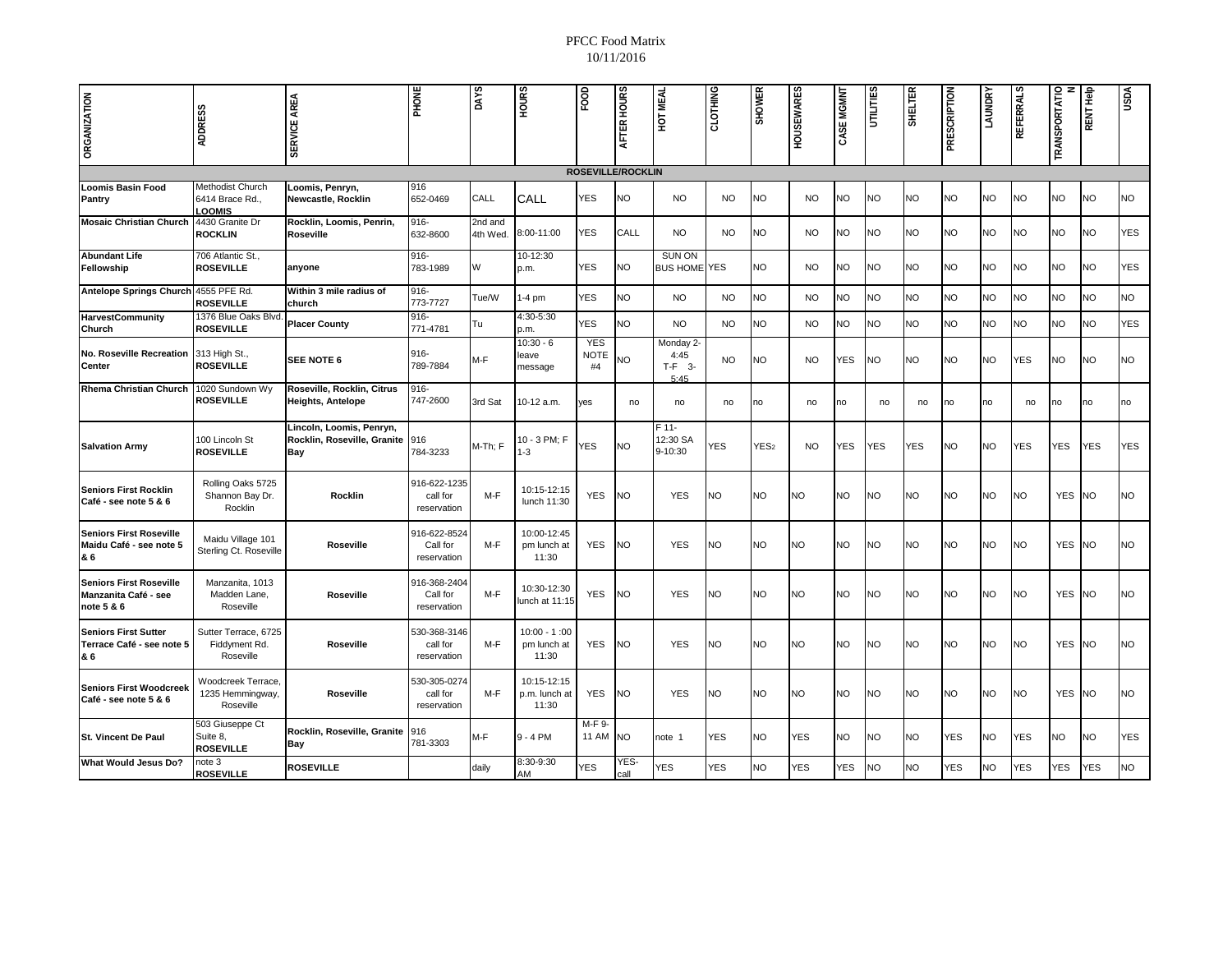| <b>ORGANIZATION</b>                                                  | <b>ADDRESS</b>                                      | SERVICE AREA                                                   | PHONE                                   | DAYS                | <b>HOURS</b>                           | FOOD                     | AFTER HOURS  | HOT MEAL                              | CLOTHING  | <b>SHOWER</b>    | <b>HOUSEWARES</b> | CASE MGMNT | UTILITIES  | <b>SHELTER</b> | PRESCRIPTION | <b>LAUNDRY</b> | REFERRALS  | <b>TRANSPORTATIO</b> | RENT Help  | Vasn       |
|----------------------------------------------------------------------|-----------------------------------------------------|----------------------------------------------------------------|-----------------------------------------|---------------------|----------------------------------------|--------------------------|--------------|---------------------------------------|-----------|------------------|-------------------|------------|------------|----------------|--------------|----------------|------------|----------------------|------------|------------|
| <b>ROSEVILLE/ROCKLIN</b>                                             |                                                     |                                                                |                                         |                     |                                        |                          |              |                                       |           |                  |                   |            |            |                |              |                |            |                      |            |            |
| <b>Loomis Basin Food</b><br>Pantry                                   | Methodist Church<br>6414 Brace Rd.,<br>LOOMIS       | Loomis, Penryn,<br>Newcastle, Rocklin                          | 916<br>652-0469                         | CALL                | CALL                                   | YES                      | <b>NO</b>    | <b>NO</b>                             | <b>NO</b> | <b>NO</b>        | <b>NO</b>         | <b>NO</b>  | <b>NO</b>  | <b>NO</b>      | <b>NO</b>    | NO             | <b>NO</b>  | <b>NO</b>            | NO         | <b>NO</b>  |
| <b>Mosaic Christian Church</b>                                       | 4430 Granite Dr<br><b>ROCKLIN</b>                   | Rocklin, Loomis, Penrin,<br>Roseville                          | 916-<br>632-8600                        | 2nd and<br>4th Wed. | 8:00-11:00                             | <b>YES</b>               | CALL         | <b>NO</b>                             | <b>NO</b> | <b>NO</b>        | <b>NO</b>         | <b>NO</b>  | NO         | <b>NO</b>      | <b>NO</b>    | NO             | <b>NO</b>  | <b>NO</b>            | NO         | <b>YES</b> |
| <b>Abundant Life</b><br>Fellowship                                   | 706 Atlantic St.,<br><b>ROSEVILLE</b>               | anyone                                                         | 916-<br>783-1989                        | W                   | 10-12:30<br>p.m.                       | <b>YES</b>               | <b>NO</b>    | <b>SUN ON</b><br><b>BUS HOME YES</b>  |           | <b>NO</b>        | <b>NO</b>         | <b>NO</b>  | <b>NO</b>  | <b>NO</b>      | <b>NO</b>    | NO.            | <b>NO</b>  | <b>NO</b>            | <b>NO</b>  | <b>YES</b> |
| <b>Antelope Springs Church</b>                                       | 4555 PFE Rd.<br><b>ROSEVILLE</b>                    | Within 3 mile radius of<br>church                              | $916 -$<br>773-7727                     | Tue/W               | $1-4$ pm                               | <b>YES</b>               | NO           | <b>NO</b>                             | <b>NO</b> | <b>NO</b>        | <b>NO</b>         | <b>NO</b>  | <b>NO</b>  | NO             | <b>NO</b>    | NΟ             | <b>NO</b>  | <b>NO</b>            | <b>NO</b>  | <b>NO</b>  |
| <b>HarvestCommunity</b><br>Church                                    | 1376 Blue Oaks Blvd<br><b>ROSEVILLE</b>             | <b>Placer County</b>                                           | $916 -$<br>771-4781                     | Tu                  | 4:30-5:30<br>p.m.                      | <b>YES</b>               | NO           | <b>NO</b>                             | <b>NO</b> | <b>NO</b>        | <b>NO</b>         | <b>NO</b>  | <b>NO</b>  | <b>NO</b>      | <b>NO</b>    | <b>NO</b>      | <b>NO</b>  | <b>NO</b>            | NO         | <b>YES</b> |
| No. Roseville Recreation<br>Center                                   | 313 High St.,<br><b>ROSEVILLE</b>                   | SEE NOTE 6                                                     | $916 -$<br>789-7884                     | M-F                 | $10:30 - 6$<br>leave<br>message        | <b>YES</b><br>NOTE<br>#4 | VO           | Monday 2-<br>4:45<br>$T-F$ 3-<br>5:45 | <b>NO</b> | <b>NO</b>        | <b>NO</b>         | YES        | <b>NO</b>  | <b>NO</b>      | <b>NO</b>    | NO             | <b>YES</b> | <b>NO</b>            | NO         | <b>NO</b>  |
| <b>Rhema Christian Church</b>                                        | 1020 Sundown Wy<br><b>ROSEVILLE</b>                 | Roseville, Rocklin, Citrus<br><b>Heights, Antelope</b>         | 916-<br>747-2600                        | 3rd Sat             | 10-12 a.m.                             | yes                      | no           | no                                    | no        | no               | no                | no         | no         | no             | no           | no             | no         | no                   | no         | no         |
| <b>Salvation Army</b>                                                | 100 Lincoln St<br><b>ROSEVILLE</b>                  | Lincoln, Loomis, Penryn,<br>Rocklin, Roseville, Granite<br>Bay | 916<br>784-3233                         | M-Th; F             | 10 - 3 PM; F<br>$1-3$                  | YES                      | NO.          | F 11-<br>12:30 SA<br>9-10:30          | YES       | YES <sub>2</sub> | <b>NO</b>         | YES        | <b>YES</b> | <b>YES</b>     | <b>NO</b>    | <b>NO</b>      | <b>YES</b> | <b>YES</b>           | <b>YES</b> | <b>YES</b> |
| <b>Seniors First Rocklin</b><br>Café - see note 5 & 6                | Rolling Oaks 5725<br>Shannon Bay Dr.<br>Rocklin     | <b>Rocklin</b>                                                 | 916-622-1235<br>call for<br>reservation | M-F                 | 10:15-12:15<br>lunch 11:30             | <b>YES</b>               | NO           | <b>YES</b>                            | NΟ        | <b>NO</b>        | <b>NO</b>         | <b>NO</b>  | NO         | <b>NO</b>      | <b>NO</b>    | NO             | <b>NO</b>  | <b>YES</b>           | NO.        | <b>NO</b>  |
| <b>Seniors First Roseville</b><br>Maidu Café - see note 5<br>& 6     | Maidu Village 101<br>Sterling Ct. Roseville         | Roseville                                                      | 916-622-8524<br>Call for<br>reservation | M-F                 | 10:00-12:45<br>pm lunch at<br>11:30    | <b>YES</b>               | NO           | <b>YES</b>                            | <b>NO</b> | <b>NO</b>        | <b>NO</b>         | <b>NO</b>  | NO.        | <b>NO</b>      | <b>NO</b>    | NO.            | <b>NO</b>  | YES NO               |            | <b>NO</b>  |
| <b>Seniors First Roseville</b><br>Manzanita Café - see<br>note 5 & 6 | Manzanita, 1013<br>Madden Lane,<br>Roseville        | Roseville                                                      | 916-368-2404<br>Call for<br>reservation | $M-F$               | 10:30-12:30<br>unch at 11:15           | <b>YES</b>               | NO           | <b>YES</b>                            | NO        | <b>NO</b>        | <b>NO</b>         | <b>NO</b>  | NO.        | <b>NO</b>      | <b>NO</b>    | NO             | <b>NO</b>  | <b>YES</b>           | <b>NO</b>  | <b>NO</b>  |
| <b>Seniors First Sutter</b><br>Terrace Café - see note 5<br>& 6      | Sutter Terrace, 6725<br>Fiddyment Rd.<br>Roseville  | Roseville                                                      | 530-368-3146<br>call for<br>reservation | M-F                 | $10:00 - 1:00$<br>pm lunch at<br>11:30 | <b>YES</b>               | NO           | <b>YES</b>                            | <b>NO</b> | <b>NO</b>        | <b>NO</b>         | <b>NO</b>  | NO         | <b>NO</b>      | NO.          | NΟ             | <b>NO</b>  | <b>YES</b>           | <b>NO</b>  | <b>NO</b>  |
| <b>Seniors First Woodcreek</b><br>Café - see note 5 & 6              | Woodcreek Terrace,<br>1235 Hemmingway,<br>Roseville | Roseville                                                      | 530-305-0274<br>call for<br>reservation | M-F                 | 10:15-12:15<br>p.m. lunch at<br>11:30  | <b>YES</b>               | NΟ           | <b>YES</b>                            | <b>NO</b> | <b>NO</b>        | <b>NO</b>         | <b>NO</b>  | NO         | <b>NO</b>      | <b>NO</b>    | ΝO             | <b>NO</b>  | YES NO               |            | <b>NO</b>  |
| <b>St. Vincent De Paul</b>                                           | 503 Giuseppe Ct<br>Suite 8,<br><b>ROSEVILLE</b>     | Rocklin, Roseville, Granite<br><b>Bay</b>                      | 916<br>781-3303                         | M-F                 | 9 - 4 PM                               | M-F 9-<br><b>11 AM</b>   | <b>NO</b>    | note 1                                | YES       | <b>NO</b>        | YES               | <b>NO</b>  | NO.        | <b>NO</b>      | YES          | <b>NO</b>      | YES        | <b>NO</b>            | NO         | <b>YES</b> |
| What Would Jesus Do?                                                 | note 3<br><b>ROSEVILLE</b>                          | <b>ROSEVILLE</b>                                               |                                         | daily               | 8:30-9:30<br>AM                        | YES                      | YES·<br>call | YES                                   | YES       | <b>NO</b>        | YES               | YES        | <b>NO</b>  | <b>NO</b>      | YES          | <b>NO</b>      | YES        | YES                  | <b>YES</b> | <b>NO</b>  |